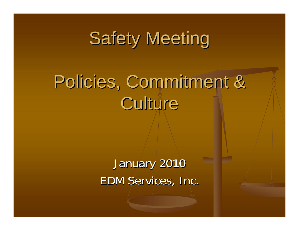# **Safety Meeting**

# Policies, Commitment & Culture

January 2010 EDM Services, Inc.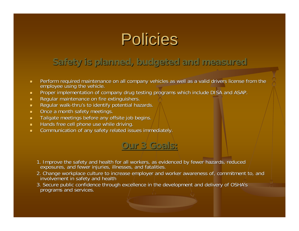### Policies

#### **Safety is planned, budgeted and measured Safety is planned, budgeted and measured**

- $\blacksquare$ Perform required maintenance on all company vehicles as well as a valid drivers license from the employee using the vehicle.
- $\blacksquare$ Proper implementation of company drug testing programs which include DISA and ASAP.
- п Regular maintenance on fire extinguishers.
- $\blacksquare$ Regular walk-thru's to identify potential hazards.
- $\blacksquare$ Once a month safety meetings.
- $\blacksquare$ Tailgate meetings before any offsite job begins.
- п Hands free cell phone use while driving.
- $\blacksquare$ Communication of any safety related issues immediately.

#### **Our 3 Goals: Our 3 Goals:**

- 1. Improve the safety and health for all workers, as evidenced by fewer hazards, reduced exposures, and fewer injuries, illnesses, and fatalities.
- 2. Change workplace culture to increase employer and worker awareness of, commitment to, and involvement in safety and health
- 3. Secure public confidence through excellence in the development and delivery of OSHA's programs and services.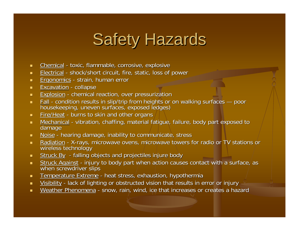# **Safety Hazards**

- $\blacksquare$ Chemical - toxic, flammable, corrosive, explosive
- $\blacksquare$ Electrical - shock/short circuit, fire, static, loss of power
- $\blacksquare$ Ergonomics - strain, human error
- $\blacksquare$ **Excavation** - collapse -
- $\mathbf{u}$  . Explosion - chemical reaction, over pressurization
- $\mathbf{H}^{\text{max}}$ ■ Fall - condition results in slip/trip from heights or on walking surfaces — poor<br>housekeeping, uneven surfaces, exposed ledges)
- $\mathbf{H}^{\text{max}}$ Fire/Heat - burns to skin and other organs
- $\blacksquare$ Mechanical - vibration, chaffing, material fatigue, failure, body part exposed to damage
- $\mathbf{m} \in \mathbb{R}^n$ Noise - hearing damage, inability to communicate, stress
- $\blacksquare$  . Radiation - X-rays, microwave ovens, microwave towers for radio or TV stations or wireless technology
- $\blacksquare$  . Struck By - falling objects and projectiles injure body
- $\mathbf{m} \in \mathbb{R}^n$ Struck Against - injury to body part when action causes contact with a surface, as when screwdriver slips
- $\blacksquare$ Temperature Extreme - heat stress, exhaustion, hypothermia
- $\blacksquare$ Visibility - lack of lighting or obstructed vision that results in error or injury
- $\blacksquare$ Weather Phenomena - snow, rain, wind, ice that increases or creates a hazard **increases** a hazard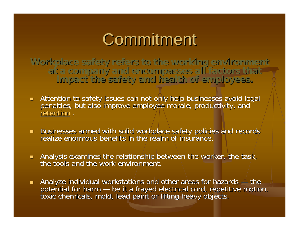### Commitment

Workplace safety refers to the working environment<br>Tactors that<br>Tactors the safety and health of employees.

- Attention to safety issues can not only help businesses avoid legal<br>penalties, but also improve employee morale, productivity, and<br>retention. retention .
- Businesses armed with solid workplace safety policies and records realize enormous benefits in the realm of insurance. realize enormous benefits in the realm of insurance.
- Analysis examines the relationship between the worker, the task, in between the worker, the task, in the tools and the work environment. the tools and the work environment.
- $\blacksquare$ Analyze individual workstations and other areas for hazards — the potential for harm — be it a frayed electrical cord, repetitive motion, toxic chemicals, mold, lead paint or lifting heavy objects.